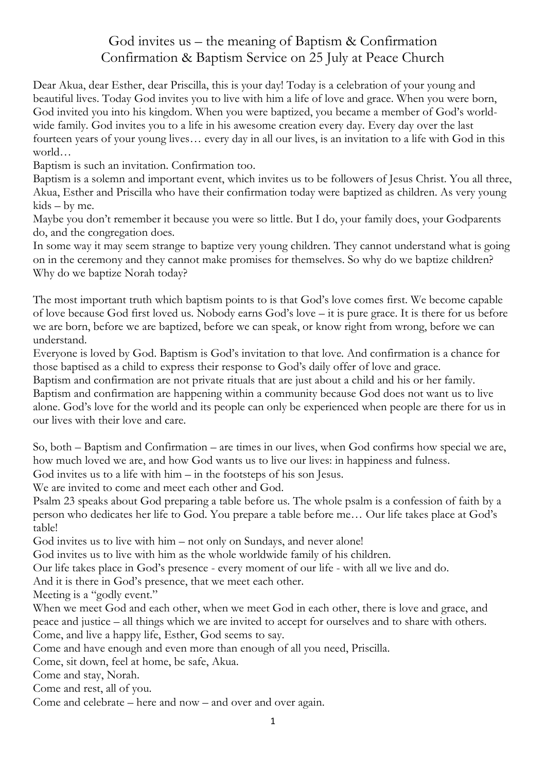## God invites us – the meaning of Baptism & Confirmation Confirmation & Baptism Service on 25 July at Peace Church

Dear Akua, dear Esther, dear Priscilla, this is your day! Today is a celebration of your young and beautiful lives. Today God invites you to live with him a life of love and grace. When you were born, God invited you into his kingdom. When you were baptized, you became a member of God's worldwide family. God invites you to a life in his awesome creation every day. Every day over the last fourteen years of your young lives… every day in all our lives, is an invitation to a life with God in this world…

Baptism is such an invitation. Confirmation too.

Baptism is a solemn and important event, which invites us to be followers of Jesus Christ. You all three, Akua, Esther and Priscilla who have their confirmation today were baptized as children. As very young kids – by me.

Maybe you don't remember it because you were so little. But I do, your family does, your Godparents do, and the congregation does.

In some way it may seem strange to baptize very young children. They cannot understand what is going on in the ceremony and they cannot make promises for themselves. So why do we baptize children? Why do we baptize Norah today?

The most important truth which baptism points to is that God's love comes first. We become capable of love because God first loved us. Nobody earns God's love – it is pure grace. It is there for us before we are born, before we are baptized, before we can speak, or know right from wrong, before we can understand.

Everyone is loved by God. Baptism is God's invitation to that love. And confirmation is a chance for those baptised as a child to express their response to God's daily offer of love and grace.

Baptism and confirmation are not private rituals that are just about a child and his or her family. Baptism and confirmation are happening within a community because God does not want us to live alone. God's love for the world and its people can only be experienced when people are there for us in our lives with their love and care.

So, both – Baptism and Confirmation – are times in our lives, when God confirms how special we are, how much loved we are, and how God wants us to live our lives: in happiness and fulness.

God invites us to a life with him – in the footsteps of his son Jesus.

We are invited to come and meet each other and God.

Psalm 23 speaks about God preparing a table before us. The whole psalm is a confession of faith by a person who dedicates her life to God. You prepare a table before me… Our life takes place at God's table!

God invites us to live with him – not only on Sundays, and never alone!

God invites us to live with him as the whole worldwide family of his children.

Our life takes place in God's presence - every moment of our life - with all we live and do.

And it is there in God's presence, that we meet each other.

Meeting is a "godly event."

When we meet God and each other, when we meet God in each other, there is love and grace, and peace and justice – all things which we are invited to accept for ourselves and to share with others. Come, and live a happy life, Esther, God seems to say.

Come and have enough and even more than enough of all you need, Priscilla.

Come, sit down, feel at home, be safe, Akua.

Come and stay, Norah.

Come and rest, all of you.

Come and celebrate – here and now – and over and over again.